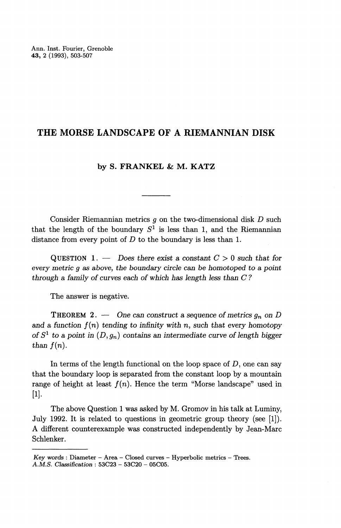## **THE MORSE LANDSCAPE OF** A RIEMANNIAN **DISK**

## **by S. FRANKEL & M. KATZ**

Consider Riemannian metrics *g* on the two-dimensional disk *D* such that the length of the boundary  $S^1$  is less than 1, and the Riemannian distance from every point of *D* to the boundary is less than 1.

QUESTION 1. — Does *there exist a constant C >* 0 such *that for every metric g as above, the boundary circle can be homotoped to a point through a family of curves each of which has length less than C ?*

The answer is negative.

THEOREM 2. — One *can construct a sequence of metrics Qn on D* and a function  $f(n)$  tending to infinity with n, such that every homotopy *of*  $S^1$  to a point in  $(D, q_n)$  contains an intermediate curve of length biggerro *than*  $f(n)$ *.* 

In terms of the length functional on the loop space of  $D$ , one can say that the boundary loop is separated from the constant loop by a mountain range of height at least  $f(n)$ . Hence the term "Morse landscape" used in [1].

The above Question 1 was asked by M. Gromov in his talk at Luminy, July 1992. It is related to questions in geometric group theory (see [1]). A different counterexample was constructed independently by Jean-Marc Schlenker.

*Key words* : Diameter - Area - Closed curves - Hyperbolic metrics - Trees. *Key words* : Diameter - Area - Closed curves A.M.S. Classification :  $53C23 - 53C20 - 05C05$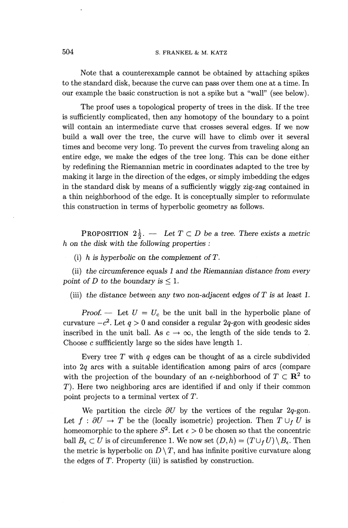Note that a counterexample cannot be obtained by attaching spikes to the standard disk, because the curve can pass over them one at a time. In our example the basic construction is not a spike but a "wall" (see below).

The proof uses a topological property of trees in the disk. If the tree is sufficiently complicated, then any homotopy of the boundary to a point will contain an intermediate curve that crosses several edges. If we now build a wall over the tree, the curve will have to climb over it several times and become very long. To prevent the curves from traveling along an entire edge, we make the edges of the tree long. This can be done either by redefining the Riemannian metric in coordinates adapted to the tree by making it large in the direction of the edges, or simply imbedding the edges in the standard disk by means of a sufficiently wiggly zig-zag contained in a thin neighborhood of the edge. It is conceptually simpler to reformulate this construction in terms of hyperbolic geometry as follows.

**PROPOSITION**  $2\frac{1}{2}$ . — Let  $T \subset D$  be a tree. There exists a metric *h on the disk with the following properties :*

(i) *h is hyperbolic on the complement ofT.*

(ii) *the circumference equals 1 and the Riemannian distance from every point of D to the boundary is*  $\leq 1$ .

(iii) *the distance* between *any two non-adjacent edges ofT is at least 1.*

*Proof.* — Let  $U = U_c$  be the unit ball in the hyperbolic plane of curvature  $-c^2$ . Let  $q > 0$  and consider a regular 2q-gon with geodesic sides inscribed in the unit ball. As  $c \to \infty$ , the length of the side tends to 2. Choose c suffficiently large so the sides have length 1.

Every tree *T* with *q* edges can be thought of as a circle subdivided into *2q* arcs with a suitable identification among pairs of arcs (compare with the projection of the boundary of an  $\epsilon$ -neighborhood of  $T \subset \mathbb{R}^2$  to T). Here two neighboring arcs are identified if and only if their common point projects to a terminal vertex of *T.*

We partition the circle  $\partial U$  by the vertices of the regular 2*q*-gon. Let  $f : \partial U \to T$  be the (locally isometric) projection. Then  $T \cup_f U$  is homeomorphic to the sphere  $S^2$ . Let  $\epsilon > 0$  be chosen so that the concentric ball  $B_{\epsilon} \subset U$  is of circumference 1. We now set  $(D, h) = (T \cup_f U) \setminus B_{\epsilon}$ . Then the metric is hyperbolic on  $D \setminus T$ , and has infinite positive ball  $B_{\epsilon} \subset U$  is of circumference 1. We now set  $(D, h) = (T \cup_{f} U) \setminus B_{\epsilon}$ . Then the edges of *T.* Property (iii) is satisfied by construction.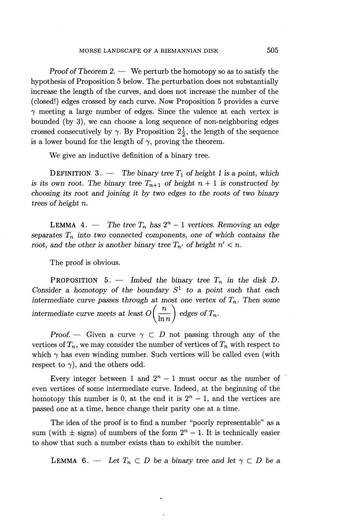*Proof of Theorem* 2. — We perturb the homotopy so as to satisfy the hypothesis of Proposition 5 below. The perturbation does not substantially increase the length of the curves, and does not increase the number of the (closed!) edges crossed by each curve. Now Proposition 5 provides a curve  $\gamma$  meeting a large number of edges. Since the valence at each vertex is bounded (by 3), we can choose a long sequence of non-neighboring edges crossed consecutively by  $\gamma$ . By Proposition  $2\frac{1}{2}$ , the length of the sequence is a lower bound for the length of  $\gamma$ , proving the theorem.

We give an inductive definition of a binary tree.

**DEFINITION** 3. — The binary tree  $T_1$  of height 1 is a point, which is its own root. The binary tree  $T_{n+1}$  of height  $n+1$  is constructed by *choosing its root and joining it by two edges to the roots of two binary trees of height n.*

LEMMA 4. — The tree  $T_n$  has  $2^n - 1$  vertices. Removing an edge *separates*  $T_n$  *into two connected components, one of which contains the root, and the other is another binary tree*  $T_{n'}$  *of height*  $n' < n$ *.* 

The proof is obvious.

**PROPOSITION** 5. — Imbed the binary tree  $T_n$  in the disk D. *Consider a homotopy of the boundary*  $S^1$  to a point such that each *intermediate curve passes through at most one vertex of*  $T_n$ *. Then some* intermediate curve meets at least  $O\left(\frac{n}{\ln n}\right)$  edges of  $T_n$ .

*Proof.* — Given a curve  $\gamma \subset D$  not passing through any of the vertices of  $T_n$ , we may consider the number of vertices of  $T_n$  with respect to which  $\gamma$  has even winding number. Such vertices will be called even (with respect to  $\gamma$ , and the others odd.

Every integer between 1 and  $2^n - 1$  must occur as the number of even vertices of some intermediate curve. Indeed, at the beginning of the homotopy this number is 0, at the end it is  $2^{n} - 1$ , and the vertices are passed one at a time, hence change their parity one at a time.

The idea of the proof is to find a number "poorly representable" as a sum (with  $\pm$  signs) of numbers of the form  $2^n - 1$ . It is technically easier to show that such a number exists than to exhibit the number.

**LEMMA** 6. — Let  $T_n \subset D$  be a binary tree and let  $\gamma \subset D$  be a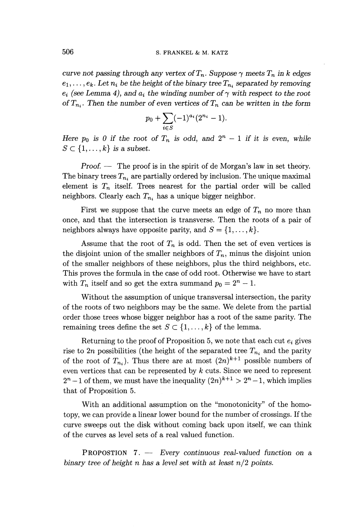*curve not passing through any vertex of*  $T_n$ . Suppose  $\gamma$  meets  $T_n$  in k edges  $e_1, \ldots, e_k$ . Let  $n_i$  be the height of the binary tree  $T_{n_i}$  separated by removing  $e_i$  (see Lemma 4), and  $a_i$  the winding number of  $\gamma$  with respect to the root *of*  $T_n$ . Then the number of even vertices of  $T_n$  can be written in the form

$$
p_0 + \sum_{i \in S} (-1)^{a_i} (2^{n_i} - 1).
$$

*Here*  $p_0$  *is 0 if the root of*  $T_n$  *is odd, and*  $2^n - 1$  *if it is even, while*  $S \subset \{1, \ldots, k\}$  is a subset.

*Proof.* — The proof is in the spirit of de Morgan's law in set theory. The binary trees  $T_{n_i}$  are partially ordered by inclusion. The unique maximal element is  $T_n$  itself. Trees nearest for the partial order will be called neighbors. Clearly each  $T_{n_i}$  has a unique bigger neighbor.

First we suppose that the curve meets an edge of  $T_n$  no more than once, and that the intersection is transverse. Then the roots of a pair of neighbors always have opposite parity, and  $S = \{1, \ldots, k\}.$ 

Assume that the root of  $T_n$  is odd. Then the set of even vertices is the disjoint union of the smaller neighbors of  $T_n$ , minus the disjoint union of the smaller neighbors of these neighbors, plus the third neighbors, etc. This proves the formula in the case of odd root. Otherwise we have to start with  $T_n$  itself and so get the extra summand  $p_0 = 2^n - 1$ .

Without the assumption of unique transversal intersection, the parity of the roots of two neighbors may be the same. We delete from the partial order those trees whose bigger neighbor has a root of the same parity. The remaining trees define the set  $S \subset \{1, \ldots, k\}$  of the lemma.

Returning to the proof of Proposition 5, we note that each cut  $e_i$  gives rise to  $2n$  possibilities (the height of the separated tree  $T_{n_i}$  and the parity of the root of  $T_{n_i}$ ). Thus there are at most  $(2n)^{k+1}$  possible numbers of even vertices that can be represented by *k* cuts. Since we need to represent  $2^{n}-1$  of them, we must have the inequality  $(2n)^{k+1} > 2^{n}-1$ , which implies that of Proposition 5.

With an additional assumption on the "monotonicity" of the homotopy, we can provide a linear lower bound for the number of crossings. If the curve sweeps out the disk without coming back upon itself, we can think of the curves as level sets of a real valued function.

PROPOSTION 7. — *Every continuous real-valued function on a binary tree of height n has a level set with at least n/2 points.*